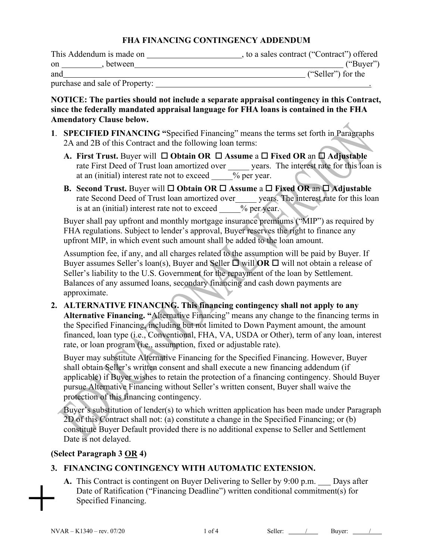#### **FHA FINANCING CONTINGENCY ADDENDUM**

| This Addendum is made on    | , to a sales contract ("Contract") offered |
|-----------------------------|--------------------------------------------|
| . between<br>on             | ("Buyer")                                  |
| and                         | ("Seller") for the                         |
| $1 \quad 1 \quad 1 \quad 0$ |                                            |

purchase and sale of Property: .

**NOTICE: The parties should not include a separate appraisal contingency in this Contract, since the federally mandated appraisal language for FHA loans is contained in the FHA Amendatory Clause below.**

- **1**. **SPECIFIED FINANCING "**Specified Financing" means the terms set forth in Paragraphs 2A and 2B of this Contract and the following loan terms:
	- **A.** First Trust. Buyer will □ Obtain OR □ Assume a □ Fixed OR an □ Adjustable rate First Deed of Trust loan amortized over years. The interest rate for this loan is at an (initial) interest rate not to exceed  $\frac{1}{\sqrt{2}}$  ber year.
	- **B. Second Trust.** Buyer will  $\Box$  **Obtain OR**  $\Box$  **Assume a**  $\Box$  **Fixed OR** an  $\Box$  **Adjustable** rate Second Deed of Trust loan amortized over years. The interest rate for this loan is at an (initial) interest rate not to exceed  $\%$  per year.

Buyer shall pay upfront and monthly mortgage insurance premiums ("MIP") as required by FHA regulations. Subject to lender's approval, Buyer reserves the right to finance any upfront MIP, in which event such amount shall be added to the loan amount.

Assumption fee, if any, and all charges related to the assumption will be paid by Buyer. If Buyer assumes Seller's loan(s), Buyer and Seller  $\Box$  will **OR**  $\Box$  will not obtain a release of Seller's liability to the U.S. Government for the repayment of the loan by Settlement. Balances of any assumed loans, secondary financing and cash down payments are approximate.

**2. ALTERNATIVE FINANCING. This financing contingency shall not apply to any Alternative Financing. "**Alternative Financing" means any change to the financing terms in the Specified Financing, including but not limited to Down Payment amount, the amount financed, loan type (i.e., Conventional, FHA, VA, USDA or Other), term of any loan, interest rate, or loan program (i.e., assumption, fixed or adjustable rate).

Buyer may substitute Alternative Financing for the Specified Financing. However, Buyer shall obtain Seller's written consent and shall execute a new financing addendum (if applicable) if Buyer wishes to retain the protection of a financing contingency. Should Buyer pursue Alternative Financing without Seller's written consent, Buyer shall waive the protection of this financing contingency.

Buyer's substitution of lender(s) to which written application has been made under Paragraph 2D of this Contract shall not: (a) constitute a change in the Specified Financing; or (b) constitute Buyer Default provided there is no additional expense to Seller and Settlement Date is not delayed.

## **(Select Paragraph 3 OR 4)**

## **3. FINANCING CONTINGENCY WITH AUTOMATIC EXTENSION.**

A. This Contract is contingent on Buyer Delivering to Seller by 9:00 p.m.  $\Box$  Days after Date of Ratification ("Financing Deadline") written conditional commitment(s) for Specified Financing.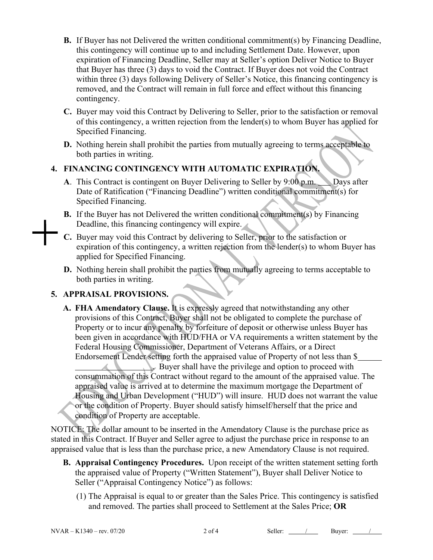- **B.** If Buyer has not Delivered the written conditional commitment(s) by Financing Deadline, this contingency will continue up to and including Settlement Date. However, upon expiration of Financing Deadline, Seller may at Seller's option Deliver Notice to Buyer that Buyer has three (3) days to void the Contract. If Buyer does not void the Contract within three (3) days following Delivery of Seller's Notice, this financing contingency is removed, and the Contract will remain in full force and effect without this financing contingency.
- **C.** Buyer may void this Contract by Delivering to Seller, prior to the satisfaction or removal of this contingency, a written rejection from the lender(s) to whom Buyer has applied for Specified Financing.
- **D.** Nothing herein shall prohibit the parties from mutually agreeing to terms acceptable to both parties in writing.

# **4. FINANCING CONTINGENCY WITH AUTOMATIC EXPIRATION.**

- **A**. This Contract is contingent on Buyer Delivering to Seller by 9:00 p.m. Days after Date of Ratification ("Financing Deadline") written conditional commitment(s) for Specified Financing.
- **B.** If the Buyer has not Delivered the written conditional commitment(s) by Financing Deadline, this financing contingency will expire.
- **C.** Buyer may void this Contract by delivering to Seller, prior to the satisfaction or expiration of this contingency, a written rejection from the lender(s) to whom Buyer has applied for Specified Financing.
- **D.** Nothing herein shall prohibit the parties from mutually agreeing to terms acceptable to both parties in writing.

# **5. APPRAISAL PROVISIONS.**

**A. FHA Amendatory Clause.** It is expressly agreed that notwithstanding any other provisions of this Contract, Buyer shall not be obligated to complete the purchase of Property or to incur any penalty by forfeiture of deposit or otherwise unless Buyer has been given in accordance with HUD/FHA or VA requirements a written statement by the Federal Housing Commissioner, Department of Veterans Affairs, or a Direct Endorsement Lender setting forth the appraised value of Property of not less than \$ . Buyer shall have the privilege and option to proceed with consummation of this Contract without regard to the amount of the appraised value. The appraised value is arrived at to determine the maximum mortgage the Department of Housing and Urban Development ("HUD") will insure. HUD does not warrant the value or the condition of Property. Buyer should satisfy himself/herself that the price and condition of Property are acceptable.

NOTICE: The dollar amount to be inserted in the Amendatory Clause is the purchase price as stated in this Contract. If Buyer and Seller agree to adjust the purchase price in response to an appraised value that is less than the purchase price, a new Amendatory Clause is not required.

- **B. Appraisal Contingency Procedures.** Upon receipt of the written statement setting forth the appraised value of Property ("Written Statement"), Buyer shall Deliver Notice to Seller ("Appraisal Contingency Notice") as follows:
	- (1) The Appraisal is equal to or greater than the Sales Price. This contingency is satisfied and removed. The parties shall proceed to Settlement at the Sales Price; **OR**

NVAR – K1340 – rev. 07/20 2 of 4 Seller: <u>/ Buyer:</u> 2 of 4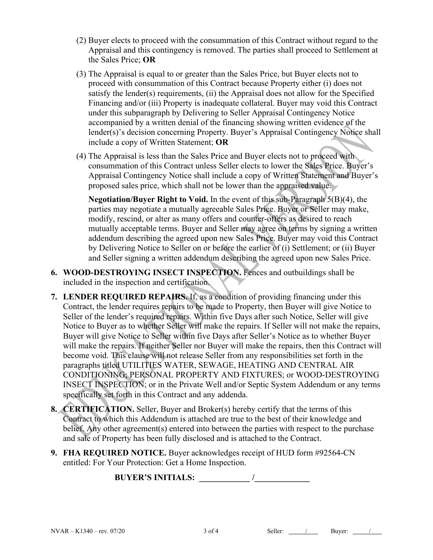- (2) Buyer elects to proceed with the consummation of this Contract without regard to the Appraisal and this contingency is removed. The parties shall proceed to Settlement at the Sales Price; **OR**
- (3) The Appraisal is equal to or greater than the Sales Price, but Buyer elects not to proceed with consummation of this Contract because Property either (i) does not satisfy the lender(s) requirements, (ii) the Appraisal does not allow for the Specified Financing and/or (iii) Property is inadequate collateral. Buyer may void this Contract under this subparagraph by Delivering to Seller Appraisal Contingency Notice accompanied by a written denial of the financing showing written evidence of the lender(s)'s decision concerning Property. Buyer's Appraisal Contingency Notice shall include a copy of Written Statement; **OR**
- (4) The Appraisal is less than the Sales Price and Buyer elects not to proceed with consummation of this Contract unless Seller elects to lower the Sales Price. Buyer's Appraisal Contingency Notice shall include a copy of Written Statement and Buyer's proposed sales price, which shall not be lower than the appraised value.

**Negotiation/Buyer Right to Void.** In the event of this sub-Paragraph 5(B)(4), the parties may negotiate a mutually agreeable Sales Price. Buyer or Seller may make, modify, rescind, or alter as many offers and counter-offers as desired to reach mutually acceptable terms. Buyer and Seller may agree on terms by signing a written addendum describing the agreed upon new Sales Price. Buyer may void this Contract by Delivering Notice to Seller on or before the earlier of (i) Settlement; or (ii) Buyer and Seller signing a written addendum describing the agreed upon new Sales Price.

- **6. WOOD-DESTROYING INSECT INSPECTION.** Fences and outbuildings shall be included in the inspection and certification.
- **7. LENDER REQUIRED REPAIRS.** If, as a condition of providing financing under this Contract, the lender requires repairs to be made to Property, then Buyer will give Notice to Seller of the lender's required repairs. Within five Days after such Notice, Seller will give Notice to Buyer as to whether Seller will make the repairs. If Seller will not make the repairs, Buyer will give Notice to Seller within five Days after Seller's Notice as to whether Buyer will make the repairs. If neither Seller nor Buyer will make the repairs, then this Contract will become void. This clause will not release Seller from any responsibilities set forth in the paragraphs titled UTILITIES WATER, SEWAGE, HEATING AND CENTRAL AIR CONDITIONING; PERSONAL PROPERTY AND FIXTURES; or WOOD-DESTROYING INSECT INSPECTION; or in the Private Well and/or Septic System Addendum or any terms specifically set forth in this Contract and any addenda.
- **8. CERTIFICATION.** Seller, Buyer and Broker(s) hereby certify that the terms of this Contract to which this Addendum is attached are true to the best of their knowledge and belief. Any other agreement(s) entered into between the parties with respect to the purchase and sale of Property has been fully disclosed and is attached to the Contract.
- **9. FHA REQUIRED NOTICE.** Buyer acknowledges receipt of HUD form #92564-CN entitled: For Your Protection: Get a Home Inspection.

**BUYER'S INITIALS: \_\_\_\_\_\_\_\_\_\_\_\_ /\_\_\_\_\_\_\_\_\_\_\_\_\_**